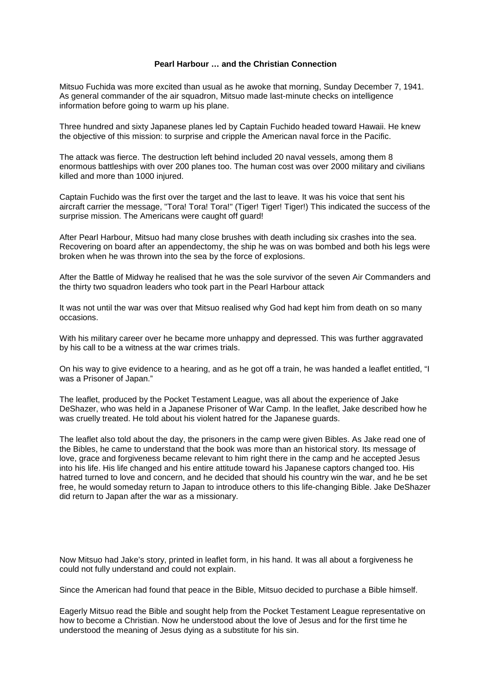## **Pearl Harbour … and the Christian Connection**

Mitsuo Fuchida was more excited than usual as he awoke that morning, Sunday December 7, 1941. As general commander of the air squadron, Mitsuo made last-minute checks on intelligence information before going to warm up his plane.

Three hundred and sixty Japanese planes led by Captain Fuchido headed toward Hawaii. He knew the objective of this mission: to surprise and cripple the American naval force in the Pacific.

The attack was fierce. The destruction left behind included 20 naval vessels, among them 8 enormous battleships with over 200 planes too. The human cost was over 2000 military and civilians killed and more than 1000 injured.

Captain Fuchido was the first over the target and the last to leave. It was his voice that sent his aircraft carrier the message, "Tora! Tora! Tora!" (Tiger! Tiger! Tiger!) This indicated the success of the surprise mission. The Americans were caught off guard!

After Pearl Harbour, Mitsuo had many close brushes with death including six crashes into the sea. Recovering on board after an appendectomy, the ship he was on was bombed and both his legs were broken when he was thrown into the sea by the force of explosions.

After the Battle of Midway he realised that he was the sole survivor of the seven Air Commanders and the thirty two squadron leaders who took part in the Pearl Harbour attack

It was not until the war was over that Mitsuo realised why God had kept him from death on so many occasions.

With his military career over he became more unhappy and depressed. This was further aggravated by his call to be a witness at the war crimes trials.

On his way to give evidence to a hearing, and as he got off a train, he was handed a leaflet entitled, "I was a Prisoner of Japan."

The leaflet, produced by the Pocket Testament League, was all about the experience of Jake DeShazer, who was held in a Japanese Prisoner of War Camp. In the leaflet, Jake described how he was cruelly treated. He told about his violent hatred for the Japanese guards.

The leaflet also told about the day, the prisoners in the camp were given Bibles. As Jake read one of the Bibles, he came to understand that the book was more than an historical story. Its message of love, grace and forgiveness became relevant to him right there in the camp and he accepted Jesus into his life. His life changed and his entire attitude toward his Japanese captors changed too. His hatred turned to love and concern, and he decided that should his country win the war, and he be set free, he would someday return to Japan to introduce others to this life-changing Bible. Jake DeShazer did return to Japan after the war as a missionary.

Now Mitsuo had Jake's story, printed in leaflet form, in his hand. It was all about a forgiveness he could not fully understand and could not explain.

Since the American had found that peace in the Bible, Mitsuo decided to purchase a Bible himself.

Eagerly Mitsuo read the Bible and sought help from the Pocket Testament League representative on how to become a Christian. Now he understood about the love of Jesus and for the first time he understood the meaning of Jesus dying as a substitute for his sin.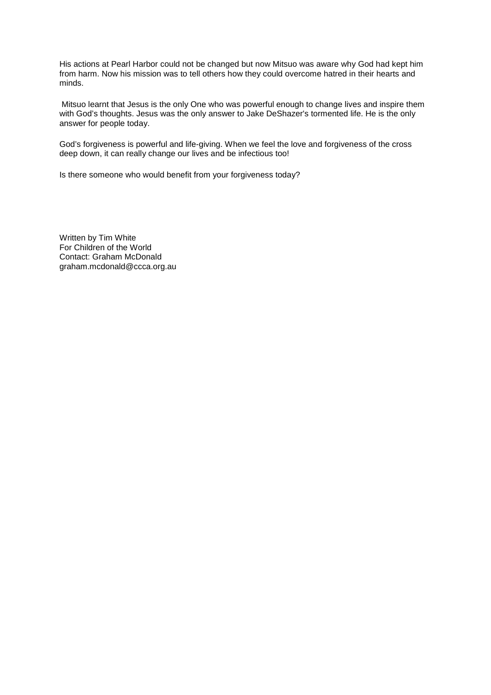His actions at Pearl Harbor could not be changed but now Mitsuo was aware why God had kept him from harm. Now his mission was to tell others how they could overcome hatred in their hearts and minds.

 Mitsuo learnt that Jesus is the only One who was powerful enough to change lives and inspire them with God's thoughts. Jesus was the only answer to Jake DeShazer's tormented life. He is the only answer for people today.

God's forgiveness is powerful and life-giving. When we feel the love and forgiveness of the cross deep down, it can really change our lives and be infectious too!

Is there someone who would benefit from your forgiveness today?

Written by Tim White For Children of the World Contact: Graham McDonald graham.mcdonald@ccca.org.au